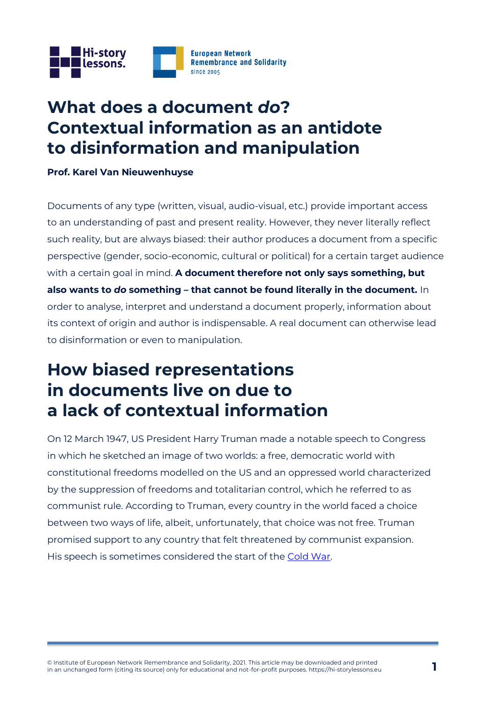

# **What does a document** *do***? Contextual information as an antidote to disinformation and manipulation**

#### **Prof. Karel Van Nieuwenhuyse**

Documents of any type (written, visual, audio-visual, etc.) provide important access to an understanding of past and present reality. However, they never literally reflect such reality, but are always biased: their author produces a document from a specific perspective (gender, socio-economic, cultural or political) for a certain target audience with a certain goal in mind. **A document therefore not only says something, but also wants to** *do* **something – that cannot be found literally in the document.** In order to analyse, interpret and understand a document properly, information about its context of origin and author is indispensable. A real document can otherwise lead to disinformation or even to manipulation.

# **How biased representations in documents live on due to a lack of contextual information**

On 12 March 1947, US President Harry Truman made a notable speech to Congress in which he sketched an image of two worlds: a free, democratic world with constitutional freedoms modelled on the US and an oppressed world characterized by the suppression of freedoms and totalitarian control, which he referred to as communist rule. According to Truman, every country in the world faced a choice between two ways of life, albeit, unfortunately, that choice was not free. Truman promised support to any country that felt threatened by communist expansion. His speech is sometimes considered the start of the [Cold War.](https://hi-storylessons.eu/wp-content/uploads/2021/03/Cold-War_-Eng.pdf)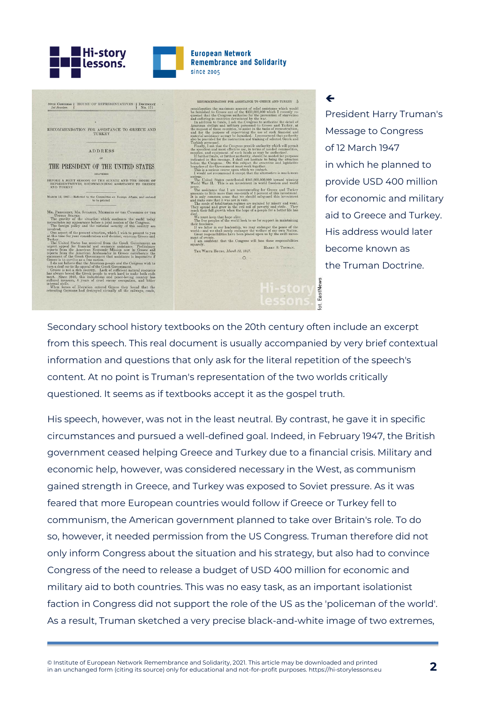



**SOTH CONGRESS | HOUSE OF REPRESENTATIVES | DOCUMENT** RECOMMENDATION FOR ASSISTANCE TO GREECE AND TURKEY ADDRESS  $_{\rm OP}$ THE PRESIDENT OF THE UNITED STATES BEFORE A JOINT SESSION OF THE SENATE AND THE HOUSE OF REPRESENTATIVES, RECOMMENDING ASSISTANCE TO GREECE AND TURKEY MARCH 12, 1947.—Referred to the Committee on Foreign Affairs, and ordered to be printed M<br/>n. Parsatnery, Ma. Speaken, Maxancas or run Coxoaness or run Towran Sv<br/>arsatness in time in the local conformit the world tensors in necessities my appearance before a point session of the Congression in the for volved.<br>One aspect of the present situation, which I wish to present to you<br>this time for your consideration and decision, concerns Greece and Cone aspect of the present situation, which I wish to present to your consideration and decision, concerns Greece and The Chinese The Chinese Theorem and experiment and experiment and experiment and experiment and experim

When forces of liberation entered Greece they found that the treating Germans had destroyed virtually all the railways, roads,

RECOMMENDATION FOR ASSISTANCE TO GREECE AND TURKEY 5 RECOMMENDATION FOR ASSISTANCE TO GREECE AND TURENT 5 consideration the maximum amount of register the the valid of the first consideration of the properties of the material and the material of the properties of the proper

serious.<br>The United States contributed \$341,000,000,000 toward winning<br>World War II. This is an investment in world freedom and world

worth var 11. Thus is an investment in worth research of the period of the period of the period of the period of the period of the period of the period of the period of the material of the model of the control of the cont

reach their full growth when the hope of a people for a better life has<br>died. We must keep that hope alive. The free peoples of the world look to us for support in maintaining<br>the  $\Gamma$  of the respective of the world look

HARRY S. TRUMAN. THE WHITE HOUSE, March 12, 1947.  $\circ$ 

#### $\leftarrow$

EastNews

President Harry Truman's Message to Congress of 12 March 1947 in which he planned to provide USD 400 million for economic and military aid to Greece and Turkey. His address would later become known as the Truman Doctrine.

Secondary school history textbooks on the 20th century often include an excerpt from this speech. This real document is usually accompanied by very brief contextual information and questions that only ask for the literal repetition of the speech's content. At no point is Truman's representation of the two worlds critically questioned. It seems as if textbooks accept it as the gospel truth.

His speech, however, was not in the least neutral. By contrast, he gave it in specific circumstances and pursued a well-defined goal. Indeed, in February 1947, the British government ceased helping Greece and Turkey due to a financial crisis. Military and economic help, however, was considered necessary in the West, as communism gained strength in Greece, and Turkey was exposed to Soviet pressure. As it was feared that more European countries would follow if Greece or Turkey fell to communism, the American government planned to take over Britain's role. To do so, however, it needed permission from the US Congress. Truman therefore did not only inform Congress about the situation and his strategy, but also had to convince Congress of the need to release a budget of USD 400 million for economic and military aid to both countries. This was no easy task, as an important isolationist faction in Congress did not support the role of the US as the 'policeman of the world'. As a result, Truman sketched a very precise black-and-white image of two extremes,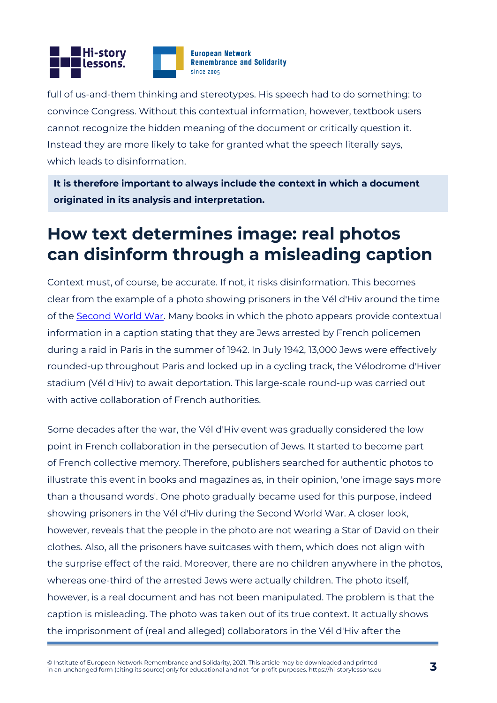

full of us-and-them thinking and stereotypes. His speech had to do something: to convince Congress. Without this contextual information, however, textbook users cannot recognize the hidden meaning of the document or critically question it. Instead they are more likely to take for granted what the speech literally says, which leads to disinformation.

**It is therefore important to always include the context in which a document originated in its analysis and interpretation.**

# **How text determines image: real photos can disinform through a misleading caption**

Context must, of course, be accurate. If not, it risks disinformation. This becomes clear from the example of a photo showing prisoners in the Vél d'Hiv around the time of the [Second World War.](https://hi-storylessons.eu/wp-content/uploads/2021/02/WorldWarII.pdf) Many books in which the photo appears provide contextual information in a caption stating that they are Jews arrested by French policemen during a raid in Paris in the summer of 1942. In July 1942, 13,000 Jews were effectively rounded-up throughout Paris and locked up in a cycling track, the Vélodrome d'Hiver stadium (Vél d'Hiv) to await deportation. This large-scale round-up was carried out with active collaboration of French authorities.

Some decades after the war, the Vél d'Hiv event was gradually considered the low point in French collaboration in the persecution of Jews. It started to become part of French collective memory. Therefore, publishers searched for authentic photos to illustrate this event in books and magazines as, in their opinion, 'one image says more than a thousand words'. One photo gradually became used for this purpose, indeed showing prisoners in the Vél d'Hiv during the Second World War. A closer look, however, reveals that the people in the photo are not wearing a Star of David on their clothes. Also, all the prisoners have suitcases with them, which does not align with the surprise effect of the raid. Moreover, there are no children anywhere in the photos, whereas one-third of the arrested Jews were actually children. The photo itself, however, is a real document and has not been manipulated. The problem is that the caption is misleading. The photo was taken out of its true context. It actually shows the imprisonment of (real and alleged) collaborators in the Vél d'Hiv after the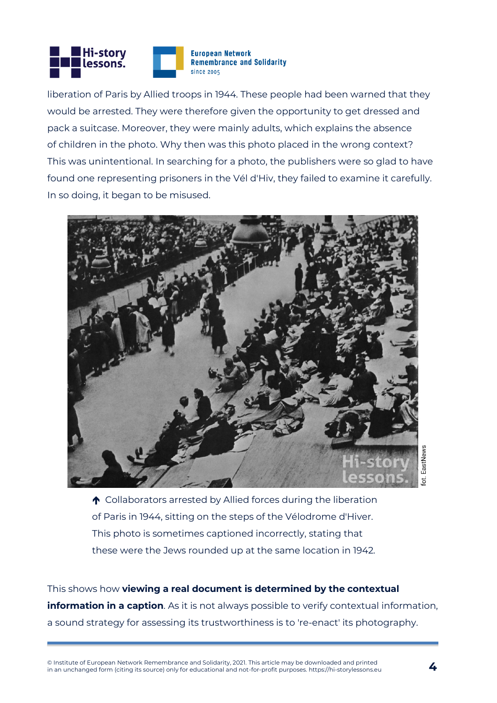

liberation of Paris by Allied troops in 1944. These people had been warned that they would be arrested. They were therefore given the opportunity to get dressed and pack a suitcase. Moreover, they were mainly adults, which explains the absence of children in the photo. Why then was this photo placed in the wrong context? This was unintentional. In searching for a photo, the publishers were so glad to have found one representing prisoners in the Vél d'Hiv, they failed to examine it carefully. In so doing, it began to be misused.



↑ Collaborators arrested by Allied forces during the liberation of Paris in 1944, sitting on the steps of the Vélodrome d'Hiver. This photo is sometimes captioned incorrectly, stating that these were the Jews rounded up at the same location in 1942.

This shows how **viewing a real document is determined by the contextual information in a caption**. As it is not always possible to verify contextual information, a sound strategy for assessing its trustworthiness is to 're-enact' its photography.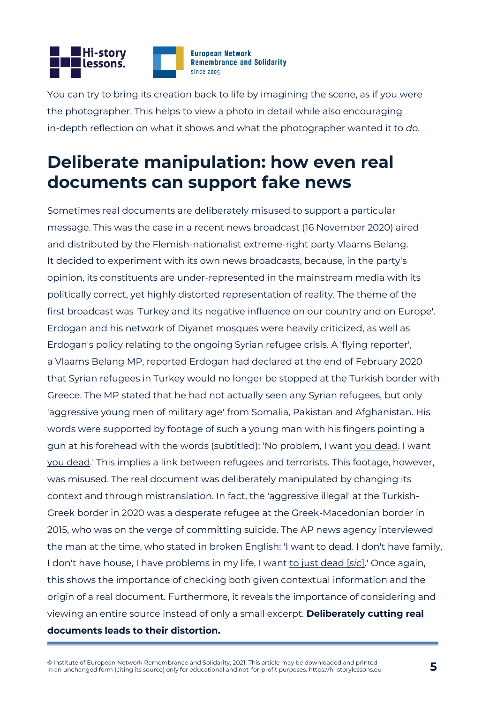

You can try to bring its creation back to life by imagining the scene, as if you were the photographer. This helps to view a photo in detail while also encouraging in-depth reflection on what it shows and what the photographer wanted it to *do*.

#### **Deliberate manipulation: how even real documents can support fake news**

Sometimes real documents are deliberately misused to support a particular message. This was the case in a recent news broadcast (16 November 2020) aired and distributed by the Flemish-nationalist extreme-right party Vlaams Belang. It decided to experiment with its own news broadcasts, because, in the party's opinion, its constituents are under-represented in the mainstream media with its politically correct, yet highly distorted representation of reality. The theme of the first broadcast was 'Turkey and its negative influence on our country and on Europe'. Erdogan and his network of Diyanet mosques were heavily criticized, as well as Erdogan's policy relating to the ongoing Syrian refugee crisis. A 'flying reporter', a Vlaams Belang MP, reported Erdogan had declared at the end of February 2020 that Syrian refugees in Turkey would no longer be stopped at the Turkish border with Greece. The MP stated that he had not actually seen any Syrian refugees, but only 'aggressive young men of military age' from Somalia, Pakistan and Afghanistan. His words were supported by footage of such a young man with his fingers pointing a gun at his forehead with the words (subtitled): 'No problem, I want you dead. I want you dead.' This implies a link between refugees and terrorists. This footage, however, was misused. The real document was deliberately manipulated by changing its context and through mistranslation. In fact, the 'aggressive illegal' at the Turkish-Greek border in 2020 was a desperate refugee at the Greek-Macedonian border in 2015, who was on the verge of committing suicide. The AP news agency interviewed the man at the time, who stated in broken English: 'I want to dead. I don't have family, I don't have house, I have problems in my life, I want to just dead [*sic*].' Once again, this shows the importance of checking both given contextual information and the origin of a real document. Furthermore, it reveals the importance of considering and viewing an entire source instead of only a small excerpt. **Deliberately cutting real documents leads to their distortion.**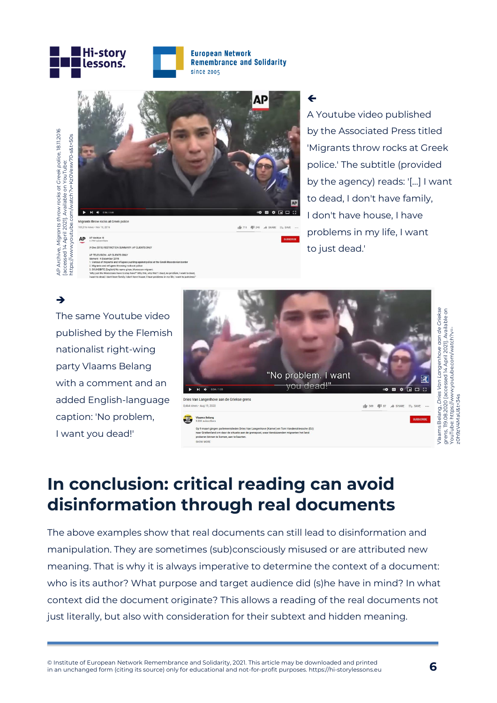

[accessed 14 April 2021]. Available on YouTube: https://www.youtube.com/watch?v=Kz0Vexw70-s&t=50s



A Youtube video published by the Associated Press titled 'Migrants throw rocks at Greek police.' The subtitle (provided by the agency) reads: '[…] I want to dead, I don't have family, I don't have house, I have problems in my life, I want

#### ➔

The same Youtube video published by the Flemish nationalist right-wing party Vlaams Belang with a comment and an added English-language caption: 'No problem, I want you dead!'



 $\leftarrow$ 

grens, 119.08.2020 [accessed 14 April 2021]. Available on<br>YouTube: https://www.youtube.com/watch?v=-<br>YouTube: https://www.youtube.com/watch?v=*grens*, 119.08.2020 [accessed 14 April 2021]. Available on YouTube: https://www.youtube.com/watch?v=- z0h9zV4MaU&t=34sz0h9zV4MaU&t=34s

#### **In conclusion: critical reading can avoid disinformation through real documents**

The above examples show that real documents can still lead to disinformation and manipulation. They are sometimes (sub)consciously misused or are attributed new meaning. That is why it is always imperative to determine the context of a document: who is its author? What purpose and target audience did (s)he have in mind? In what context did the document originate? This allows a reading of the real documents not just literally, but also with consideration for their subtext and hidden meaning.